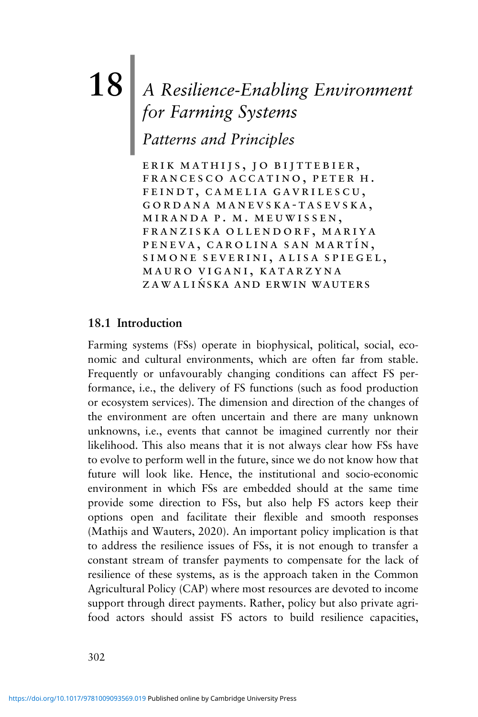# **18**| *A Resilience-Enabling Environment for Farming Systems*

*Patterns and Principles*

erik mathijs, jo bijttebier, francesco accatino, peter h. feindt, camelia gavrilescu, gordana manevska-tasevska, miranda p. m. meuwissen, franziska ollendorf, mariya PENEVA, CAROLINA SAN MARTÍN, simone severini, alisa spiegel, mauro vigani, katarzyna ZAWALIŃSKA AND ERWIN WAUTERS

# **18.1 Introduction**

Farming systems (FSs) operate in biophysical, political, social, economic and cultural environments, which are often far from stable. Frequently or unfavourably changing conditions can affect FS performance, i.e., the delivery of FS functions (such as food production or ecosystem services). The dimension and direction of the changes of the environment are often uncertain and there are many unknown unknowns, i.e., events that cannot be imagined currently nor their likelihood. This also means that it is not always clear how FSs have to evolve to perform well in the future, since we do not know how that future will look like. Hence, the institutional and socio-economic environment in which FSs are embedded should at the same time provide some direction to FSs, but also help FS actors keep their options open and facilitate their flexible and smooth responses (Mathijs and Wauters, 2020). An important policy implication is that to address the resilience issues of FSs, it is not enough to transfer a constant stream of transfer payments to compensate for the lack of resilience of these systems, as is the approach taken in the Common Agricultural Policy (CAP) where most resources are devoted to income support through direct payments. Rather, policy but also private agrifood actors should assist FS actors to build resilience capacities,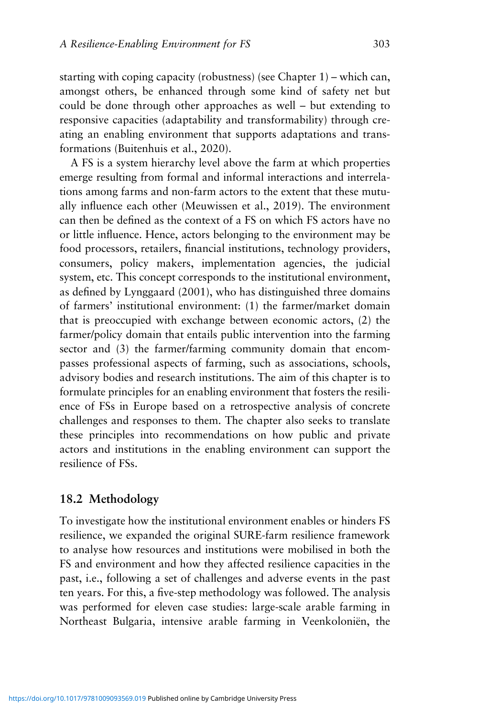starting with coping capacity (robustness) (see Chapter 1) – which can, amongst others, be enhanced through some kind of safety net but could be done through other approaches as well – but extending to responsive capacities (adaptability and transformability) through creating an enabling environment that supports adaptations and transformations (Buitenhuis et al., 2020).

A FS is a system hierarchy level above the farm at which properties emerge resulting from formal and informal interactions and interrelations among farms and non-farm actors to the extent that these mutually influence each other (Meuwissen et al., 2019). The environment can then be defined as the context of a FS on which FS actors have no or little influence. Hence, actors belonging to the environment may be food processors, retailers, financial institutions, technology providers, consumers, policy makers, implementation agencies, the judicial system, etc. This concept corresponds to the institutional environment, as defined by Lynggaard (2001), who has distinguished three domains of farmers' institutional environment: (1) the farmer/market domain that is preoccupied with exchange between economic actors, (2) the farmer/policy domain that entails public intervention into the farming sector and (3) the farmer/farming community domain that encompasses professional aspects of farming, such as associations, schools, advisory bodies and research institutions. The aim of this chapter is to formulate principles for an enabling environment that fosters the resilience of FSs in Europe based on a retrospective analysis of concrete challenges and responses to them. The chapter also seeks to translate these principles into recommendations on how public and private actors and institutions in the enabling environment can support the resilience of FSs.

### **18.2 Methodology**

To investigate how the institutional environment enables or hinders FS resilience, we expanded the original SURE-farm resilience framework to analyse how resources and institutions were mobilised in both the FS and environment and how they affected resilience capacities in the past, i.e., following a set of challenges and adverse events in the past ten years. For this, a five-step methodology was followed. The analysis was performed for eleven case studies: large-scale arable farming in Northeast Bulgaria, intensive arable farming in Veenkoloniën, the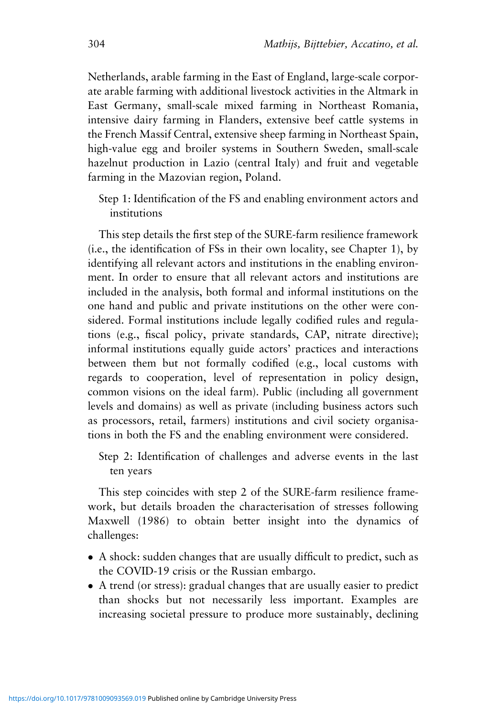Netherlands, arable farming in the East of England, large-scale corporate arable farming with additional livestock activities in the Altmark in East Germany, small-scale mixed farming in Northeast Romania, intensive dairy farming in Flanders, extensive beef cattle systems in the French Massif Central, extensive sheep farming in Northeast Spain, high-value egg and broiler systems in Southern Sweden, small-scale hazelnut production in Lazio (central Italy) and fruit and vegetable farming in the Mazovian region, Poland.

Step 1: Identification of the FS and enabling environment actors and institutions

This step details the first step of the SURE-farm resilience framework (i.e., the identification of FSs in their own locality, see Chapter 1), by identifying all relevant actors and institutions in the enabling environment. In order to ensure that all relevant actors and institutions are included in the analysis, both formal and informal institutions on the one hand and public and private institutions on the other were considered. Formal institutions include legally codified rules and regulations (e.g., fiscal policy, private standards, CAP, nitrate directive); informal institutions equally guide actors' practices and interactions between them but not formally codified (e.g., local customs with regards to cooperation, level of representation in policy design, common visions on the ideal farm). Public (including all government levels and domains) as well as private (including business actors such as processors, retail, farmers) institutions and civil society organisations in both the FS and the enabling environment were considered.

Step 2: Identification of challenges and adverse events in the last ten years

This step coincides with step 2 of the SURE-farm resilience framework, but details broaden the characterisation of stresses following Maxwell (1986) to obtain better insight into the dynamics of challenges:

- A shock: sudden changes that are usually difficult to predict, such as the COVID-19 crisis or the Russian embargo.
- A trend (or stress): gradual changes that are usually easier to predict than shocks but not necessarily less important. Examples are increasing societal pressure to produce more sustainably, declining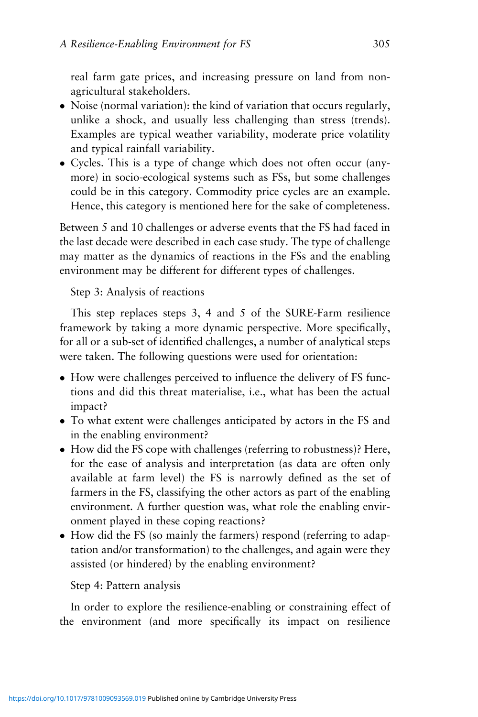real farm gate prices, and increasing pressure on land from nonagricultural stakeholders.

- Noise (normal variation): the kind of variation that occurs regularly, unlike a shock, and usually less challenging than stress (trends). Examples are typical weather variability, moderate price volatility and typical rainfall variability.
- Cycles. This is a type of change which does not often occur (anymore) in socio-ecological systems such as FSs, but some challenges could be in this category. Commodity price cycles are an example. Hence, this category is mentioned here for the sake of completeness.

Between 5 and 10 challenges or adverse events that the FS had faced in the last decade were described in each case study. The type of challenge may matter as the dynamics of reactions in the FSs and the enabling environment may be different for different types of challenges.

Step 3: Analysis of reactions

This step replaces steps 3, 4 and 5 of the SURE-Farm resilience framework by taking a more dynamic perspective. More specifically, for all or a sub-set of identified challenges, a number of analytical steps were taken. The following questions were used for orientation:

- How were challenges perceived to influence the delivery of FS functions and did this threat materialise, i.e., what has been the actual impact?
- To what extent were challenges anticipated by actors in the FS and in the enabling environment?
- How did the FS cope with challenges (referring to robustness)? Here, for the ease of analysis and interpretation (as data are often only available at farm level) the FS is narrowly defined as the set of farmers in the FS, classifying the other actors as part of the enabling environment. A further question was, what role the enabling environment played in these coping reactions?
- How did the FS (so mainly the farmers) respond (referring to adaptation and/or transformation) to the challenges, and again were they assisted (or hindered) by the enabling environment?

#### Step 4: Pattern analysis

In order to explore the resilience-enabling or constraining effect of the environment (and more specifically its impact on resilience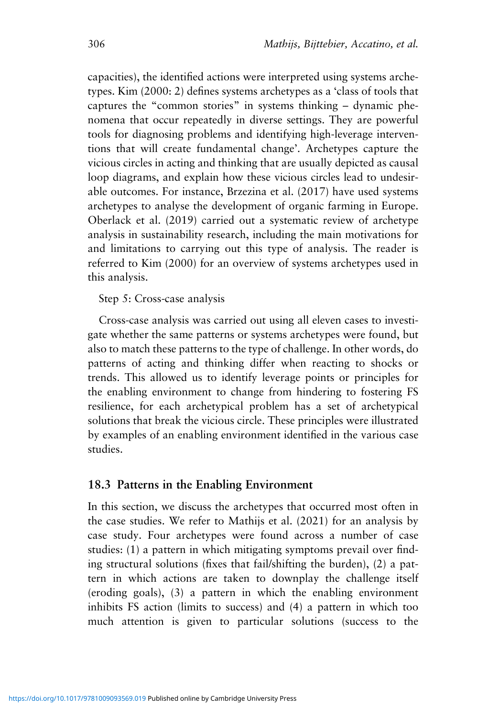capacities), the identified actions were interpreted using systems archetypes. Kim (2000: 2) defines systems archetypes as a 'class of tools that captures the "common stories" in systems thinking – dynamic phenomena that occur repeatedly in diverse settings. They are powerful tools for diagnosing problems and identifying high-leverage interventions that will create fundamental change'. Archetypes capture the vicious circles in acting and thinking that are usually depicted as causal loop diagrams, and explain how these vicious circles lead to undesirable outcomes. For instance, Brzezina et al. (2017) have used systems archetypes to analyse the development of organic farming in Europe. Oberlack et al. (2019) carried out a systematic review of archetype analysis in sustainability research, including the main motivations for and limitations to carrying out this type of analysis. The reader is referred to Kim (2000) for an overview of systems archetypes used in this analysis.

Step 5: Cross-case analysis

Cross-case analysis was carried out using all eleven cases to investigate whether the same patterns or systems archetypes were found, but also to match these patterns to the type of challenge. In other words, do patterns of acting and thinking differ when reacting to shocks or trends. This allowed us to identify leverage points or principles for the enabling environment to change from hindering to fostering FS resilience, for each archetypical problem has a set of archetypical solutions that break the vicious circle. These principles were illustrated by examples of an enabling environment identified in the various case studies.

## **18.3 Patterns in the Enabling Environment**

In this section, we discuss the archetypes that occurred most often in the case studies. We refer to Mathijs et al. (2021) for an analysis by case study. Four archetypes were found across a number of case studies: (1) a pattern in which mitigating symptoms prevail over finding structural solutions (fixes that fail/shifting the burden), (2) a pattern in which actions are taken to downplay the challenge itself (eroding goals), (3) a pattern in which the enabling environment inhibits FS action (limits to success) and (4) a pattern in which too much attention is given to particular solutions (success to the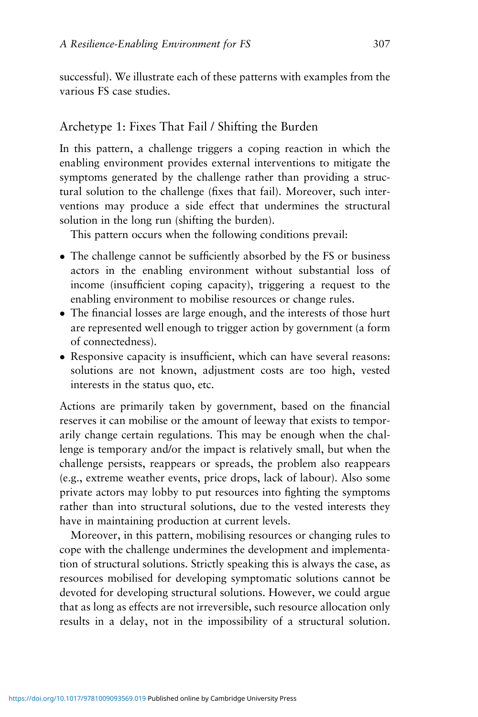successful). We illustrate each of these patterns with examples from the various FS case studies.

# Archetype 1: Fixes That Fail / Shifting the Burden

In this pattern, a challenge triggers a coping reaction in which the enabling environment provides external interventions to mitigate the symptoms generated by the challenge rather than providing a structural solution to the challenge (fixes that fail). Moreover, such interventions may produce a side effect that undermines the structural solution in the long run (shifting the burden).

This pattern occurs when the following conditions prevail:

- The challenge cannot be sufficiently absorbed by the FS or business actors in the enabling environment without substantial loss of income (insufficient coping capacity), triggering a request to the enabling environment to mobilise resources or change rules.
- The financial losses are large enough, and the interests of those hurt are represented well enough to trigger action by government (a form of connectedness).
- Responsive capacity is insufficient, which can have several reasons: solutions are not known, adjustment costs are too high, vested interests in the status quo, etc.

Actions are primarily taken by government, based on the financial reserves it can mobilise or the amount of leeway that exists to temporarily change certain regulations. This may be enough when the challenge is temporary and/or the impact is relatively small, but when the challenge persists, reappears or spreads, the problem also reappears (e.g., extreme weather events, price drops, lack of labour). Also some private actors may lobby to put resources into fighting the symptoms rather than into structural solutions, due to the vested interests they have in maintaining production at current levels.

Moreover, in this pattern, mobilising resources or changing rules to cope with the challenge undermines the development and implementation of structural solutions. Strictly speaking this is always the case, as resources mobilised for developing symptomatic solutions cannot be devoted for developing structural solutions. However, we could argue that as long as effects are not irreversible, such resource allocation only results in a delay, not in the impossibility of a structural solution.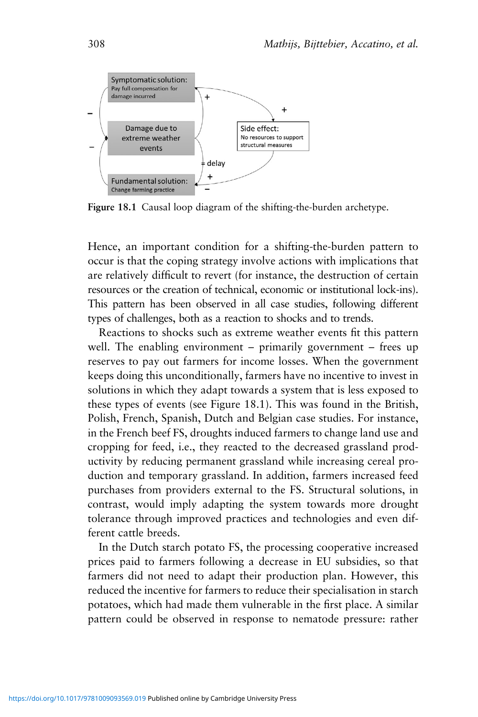

**Figure 18.1** Causal loop diagram of the shifting-the-burden archetype.

Hence, an important condition for a shifting-the-burden pattern to occur is that the coping strategy involve actions with implications that are relatively difficult to revert (for instance, the destruction of certain resources or the creation of technical, economic or institutional lock-ins). This pattern has been observed in all case studies, following different types of challenges, both as a reaction to shocks and to trends.

Reactions to shocks such as extreme weather events fit this pattern well. The enabling environment – primarily government – frees up reserves to pay out farmers for income losses. When the government keeps doing this unconditionally, farmers have no incentive to invest in solutions in which they adapt towards a system that is less exposed to these types of events (see Figure 18.1). This was found in the British, Polish, French, Spanish, Dutch and Belgian case studies. For instance, in the French beef FS, droughts induced farmers to change land use and cropping for feed, i.e., they reacted to the decreased grassland productivity by reducing permanent grassland while increasing cereal production and temporary grassland. In addition, farmers increased feed purchases from providers external to the FS. Structural solutions, in contrast, would imply adapting the system towards more drought tolerance through improved practices and technologies and even different cattle breeds.

In the Dutch starch potato FS, the processing cooperative increased prices paid to farmers following a decrease in EU subsidies, so that farmers did not need to adapt their production plan. However, this reduced the incentive for farmers to reduce their specialisation in starch potatoes, which had made them vulnerable in the first place. A similar pattern could be observed in response to nematode pressure: rather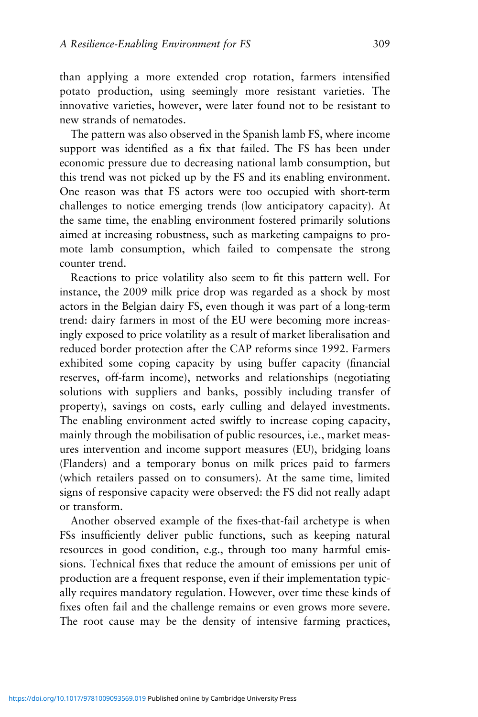than applying a more extended crop rotation, farmers intensified potato production, using seemingly more resistant varieties. The innovative varieties, however, were later found not to be resistant to new strands of nematodes.

The pattern was also observed in the Spanish lamb FS, where income support was identified as a fix that failed. The FS has been under economic pressure due to decreasing national lamb consumption, but this trend was not picked up by the FS and its enabling environment. One reason was that FS actors were too occupied with short-term challenges to notice emerging trends (low anticipatory capacity). At the same time, the enabling environment fostered primarily solutions aimed at increasing robustness, such as marketing campaigns to promote lamb consumption, which failed to compensate the strong counter trend.

Reactions to price volatility also seem to fit this pattern well. For instance, the 2009 milk price drop was regarded as a shock by most actors in the Belgian dairy FS, even though it was part of a long-term trend: dairy farmers in most of the EU were becoming more increasingly exposed to price volatility as a result of market liberalisation and reduced border protection after the CAP reforms since 1992. Farmers exhibited some coping capacity by using buffer capacity (financial reserves, off-farm income), networks and relationships (negotiating solutions with suppliers and banks, possibly including transfer of property), savings on costs, early culling and delayed investments. The enabling environment acted swiftly to increase coping capacity, mainly through the mobilisation of public resources, i.e., market measures intervention and income support measures (EU), bridging loans (Flanders) and a temporary bonus on milk prices paid to farmers (which retailers passed on to consumers). At the same time, limited signs of responsive capacity were observed: the FS did not really adapt or transform.

Another observed example of the fixes-that-fail archetype is when FSs insufficiently deliver public functions, such as keeping natural resources in good condition, e.g., through too many harmful emissions. Technical fixes that reduce the amount of emissions per unit of production are a frequent response, even if their implementation typically requires mandatory regulation. However, over time these kinds of fixes often fail and the challenge remains or even grows more severe. The root cause may be the density of intensive farming practices,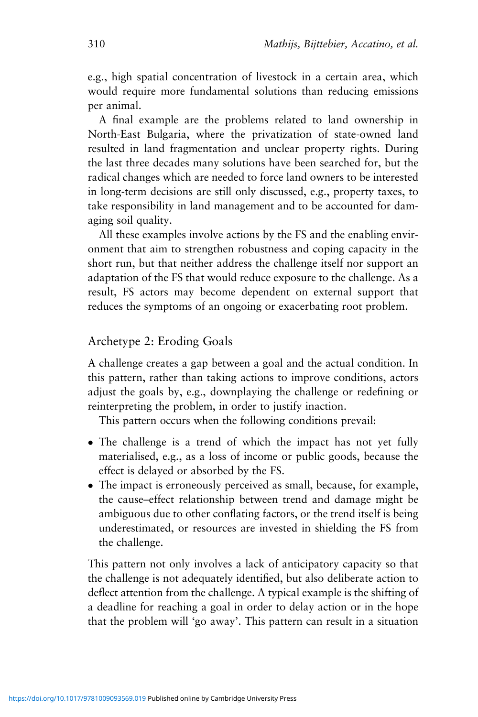e.g., high spatial concentration of livestock in a certain area, which would require more fundamental solutions than reducing emissions per animal.

A final example are the problems related to land ownership in North-East Bulgaria, where the privatization of state-owned land resulted in land fragmentation and unclear property rights. During the last three decades many solutions have been searched for, but the radical changes which are needed to force land owners to be interested in long-term decisions are still only discussed, e.g., property taxes, to take responsibility in land management and to be accounted for damaging soil quality.

All these examples involve actions by the FS and the enabling environment that aim to strengthen robustness and coping capacity in the short run, but that neither address the challenge itself nor support an adaptation of the FS that would reduce exposure to the challenge. As a result, FS actors may become dependent on external support that reduces the symptoms of an ongoing or exacerbating root problem.

# Archetype 2: Eroding Goals

A challenge creates a gap between a goal and the actual condition. In this pattern, rather than taking actions to improve conditions, actors adjust the goals by, e.g., downplaying the challenge or redefining or reinterpreting the problem, in order to justify inaction.

This pattern occurs when the following conditions prevail:

- The challenge is a trend of which the impact has not yet fully materialised, e.g., as a loss of income or public goods, because the effect is delayed or absorbed by the FS.
- The impact is erroneously perceived as small, because, for example, the cause–effect relationship between trend and damage might be ambiguous due to other conflating factors, or the trend itself is being underestimated, or resources are invested in shielding the FS from the challenge.

This pattern not only involves a lack of anticipatory capacity so that the challenge is not adequately identified, but also deliberate action to deflect attention from the challenge. A typical example is the shifting of a deadline for reaching a goal in order to delay action or in the hope that the problem will 'go away'. This pattern can result in a situation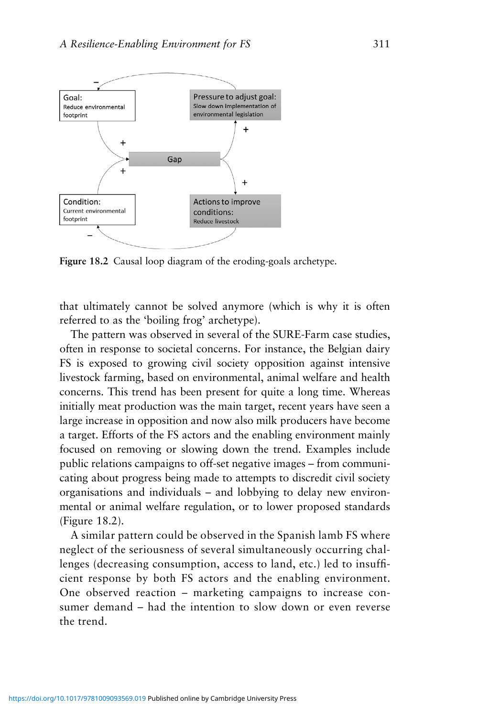

**Figure 18.2** Causal loop diagram of the eroding-goals archetype.

that ultimately cannot be solved anymore (which is why it is often referred to as the 'boiling frog' archetype).

The pattern was observed in several of the SURE-Farm case studies, often in response to societal concerns. For instance, the Belgian dairy FS is exposed to growing civil society opposition against intensive livestock farming, based on environmental, animal welfare and health concerns. This trend has been present for quite a long time. Whereas initially meat production was the main target, recent years have seen a large increase in opposition and now also milk producers have become a target. Efforts of the FS actors and the enabling environment mainly focused on removing or slowing down the trend. Examples include public relations campaigns to off-set negative images – from communicating about progress being made to attempts to discredit civil society organisations and individuals – and lobbying to delay new environmental or animal welfare regulation, or to lower proposed standards (Figure 18.2).

A similar pattern could be observed in the Spanish lamb FS where neglect of the seriousness of several simultaneously occurring challenges (decreasing consumption, access to land, etc.) led to insufficient response by both FS actors and the enabling environment. One observed reaction – marketing campaigns to increase consumer demand – had the intention to slow down or even reverse the trend.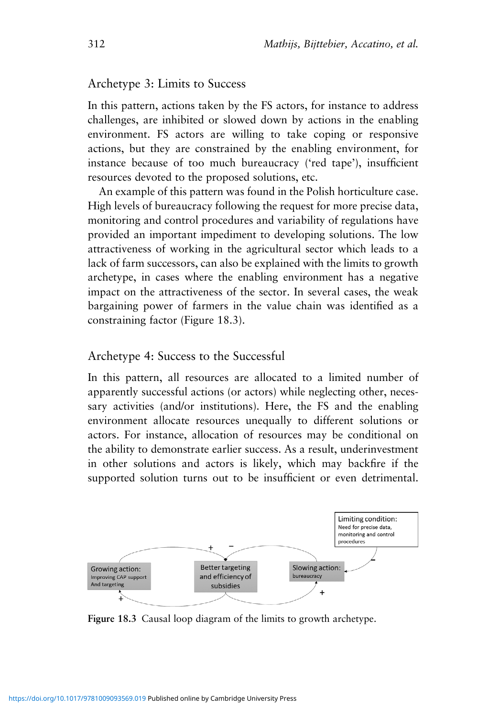#### Archetype 3: Limits to Success

In this pattern, actions taken by the FS actors, for instance to address challenges, are inhibited or slowed down by actions in the enabling environment. FS actors are willing to take coping or responsive actions, but they are constrained by the enabling environment, for instance because of too much bureaucracy ('red tape'), insufficient resources devoted to the proposed solutions, etc.

An example of this pattern was found in the Polish horticulture case. High levels of bureaucracy following the request for more precise data, monitoring and control procedures and variability of regulations have provided an important impediment to developing solutions. The low attractiveness of working in the agricultural sector which leads to a lack of farm successors, can also be explained with the limits to growth archetype, in cases where the enabling environment has a negative impact on the attractiveness of the sector. In several cases, the weak bargaining power of farmers in the value chain was identified as a constraining factor (Figure 18.3).

#### Archetype 4: Success to the Successful

In this pattern, all resources are allocated to a limited number of apparently successful actions (or actors) while neglecting other, necessary activities (and/or institutions). Here, the FS and the enabling environment allocate resources unequally to different solutions or actors. For instance, allocation of resources may be conditional on the ability to demonstrate earlier success. As a result, underinvestment in other solutions and actors is likely, which may backfire if the supported solution turns out to be insufficient or even detrimental.



**Figure 18.3** Causal loop diagram of the limits to growth archetype.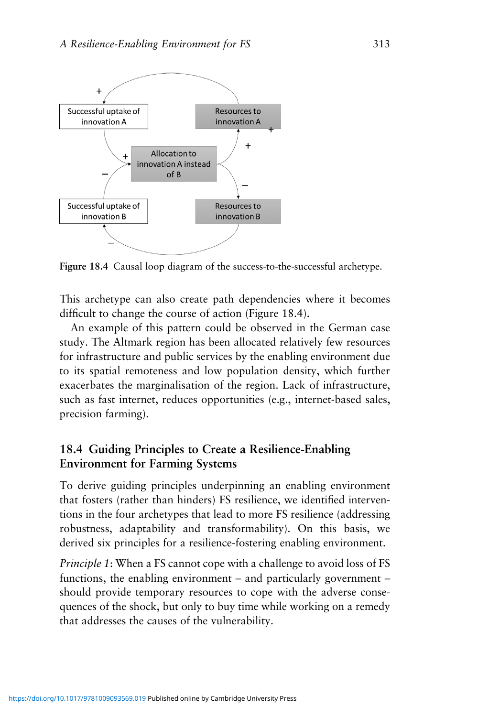

**Figure 18.4** Causal loop diagram of the success-to-the-successful archetype.

This archetype can also create path dependencies where it becomes difficult to change the course of action (Figure 18.4).

An example of this pattern could be observed in the German case study. The Altmark region has been allocated relatively few resources for infrastructure and public services by the enabling environment due to its spatial remoteness and low population density, which further exacerbates the marginalisation of the region. Lack of infrastructure, such as fast internet, reduces opportunities (e.g., internet-based sales, precision farming).

# **18.4 Guiding Principles to Create a Resilience-Enabling Environment for Farming Systems**

To derive guiding principles underpinning an enabling environment that fosters (rather than hinders) FS resilience, we identified interventions in the four archetypes that lead to more FS resilience (addressing robustness, adaptability and transformability). On this basis, we derived six principles for a resilience-fostering enabling environment.

*Principle 1*: When a FS cannot cope with a challenge to avoid loss of FS functions, the enabling environment – and particularly government – should provide temporary resources to cope with the adverse consequences of the shock, but only to buy time while working on a remedy that addresses the causes of the vulnerability.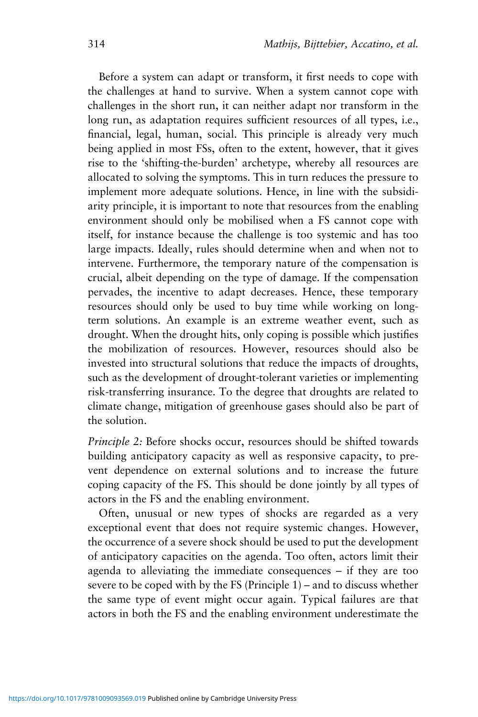Before a system can adapt or transform, it first needs to cope with the challenges at hand to survive. When a system cannot cope with challenges in the short run, it can neither adapt nor transform in the long run, as adaptation requires sufficient resources of all types, i.e., financial, legal, human, social. This principle is already very much being applied in most FSs, often to the extent, however, that it gives rise to the 'shifting-the-burden' archetype, whereby all resources are allocated to solving the symptoms. This in turn reduces the pressure to implement more adequate solutions. Hence, in line with the subsidiarity principle, it is important to note that resources from the enabling environment should only be mobilised when a FS cannot cope with itself, for instance because the challenge is too systemic and has too large impacts. Ideally, rules should determine when and when not to intervene. Furthermore, the temporary nature of the compensation is crucial, albeit depending on the type of damage. If the compensation pervades, the incentive to adapt decreases. Hence, these temporary resources should only be used to buy time while working on longterm solutions. An example is an extreme weather event, such as drought. When the drought hits, only coping is possible which justifies the mobilization of resources. However, resources should also be invested into structural solutions that reduce the impacts of droughts, such as the development of drought-tolerant varieties or implementing risk-transferring insurance. To the degree that droughts are related to climate change, mitigation of greenhouse gases should also be part of the solution.

*Principle 2:* Before shocks occur, resources should be shifted towards building anticipatory capacity as well as responsive capacity, to prevent dependence on external solutions and to increase the future coping capacity of the FS. This should be done jointly by all types of actors in the FS and the enabling environment.

Often, unusual or new types of shocks are regarded as a very exceptional event that does not require systemic changes. However, the occurrence of a severe shock should be used to put the development of anticipatory capacities on the agenda. Too often, actors limit their agenda to alleviating the immediate consequences – if they are too severe to be coped with by the FS (Principle 1) – and to discuss whether the same type of event might occur again. Typical failures are that actors in both the FS and the enabling environment underestimate the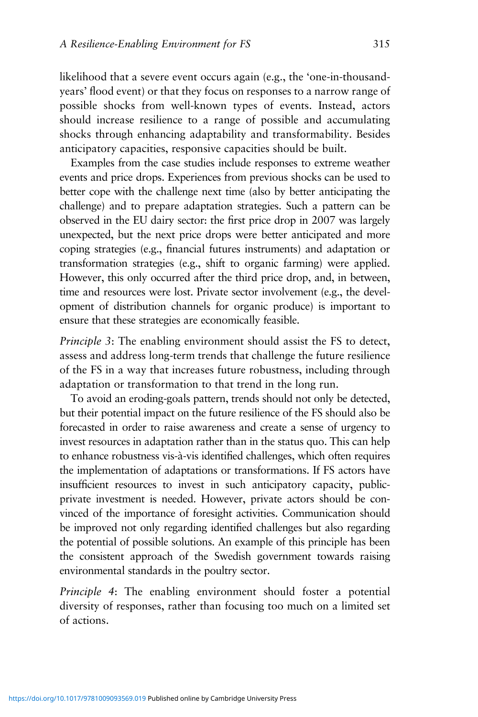likelihood that a severe event occurs again (e.g., the 'one-in-thousandyears' flood event) or that they focus on responses to a narrow range of possible shocks from well-known types of events. Instead, actors should increase resilience to a range of possible and accumulating shocks through enhancing adaptability and transformability. Besides anticipatory capacities, responsive capacities should be built.

Examples from the case studies include responses to extreme weather events and price drops. Experiences from previous shocks can be used to better cope with the challenge next time (also by better anticipating the challenge) and to prepare adaptation strategies. Such a pattern can be observed in the EU dairy sector: the first price drop in 2007 was largely unexpected, but the next price drops were better anticipated and more coping strategies (e.g., financial futures instruments) and adaptation or transformation strategies (e.g., shift to organic farming) were applied. However, this only occurred after the third price drop, and, in between, time and resources were lost. Private sector involvement (e.g., the development of distribution channels for organic produce) is important to ensure that these strategies are economically feasible.

*Principle 3*: The enabling environment should assist the FS to detect, assess and address long-term trends that challenge the future resilience of the FS in a way that increases future robustness, including through adaptation or transformation to that trend in the long run.

To avoid an eroding-goals pattern, trends should not only be detected, but their potential impact on the future resilience of the FS should also be forecasted in order to raise awareness and create a sense of urgency to invest resources in adaptation rather than in the status quo. This can help to enhance robustness vis-à-vis identified challenges, which often requires the implementation of adaptations or transformations. If FS actors have insufficient resources to invest in such anticipatory capacity, publicprivate investment is needed. However, private actors should be convinced of the importance of foresight activities. Communication should be improved not only regarding identified challenges but also regarding the potential of possible solutions. An example of this principle has been the consistent approach of the Swedish government towards raising environmental standards in the poultry sector.

*Principle 4*: The enabling environment should foster a potential diversity of responses, rather than focusing too much on a limited set of actions.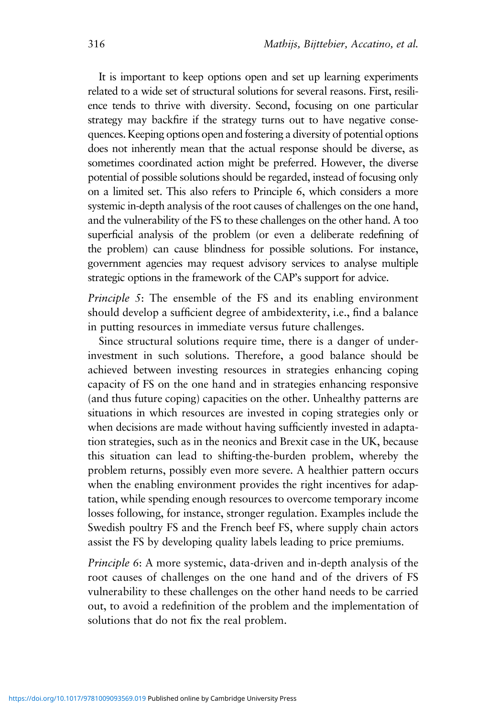It is important to keep options open and set up learning experiments related to a wide set of structural solutions for several reasons. First, resilience tends to thrive with diversity. Second, focusing on one particular strategy may backfire if the strategy turns out to have negative consequences. Keeping options open and fostering a diversity of potential options does not inherently mean that the actual response should be diverse, as sometimes coordinated action might be preferred. However, the diverse potential of possible solutions should be regarded, instead of focusing only on a limited set. This also refers to Principle 6, which considers a more systemic in-depth analysis of the root causes of challenges on the one hand, and the vulnerability of the FS to these challenges on the other hand. A too superficial analysis of the problem (or even a deliberate redefining of the problem) can cause blindness for possible solutions. For instance, government agencies may request advisory services to analyse multiple strategic options in the framework of the CAP's support for advice.

*Principle 5*: The ensemble of the FS and its enabling environment should develop a sufficient degree of ambidexterity, i.e., find a balance in putting resources in immediate versus future challenges.

Since structural solutions require time, there is a danger of underinvestment in such solutions. Therefore, a good balance should be achieved between investing resources in strategies enhancing coping capacity of FS on the one hand and in strategies enhancing responsive (and thus future coping) capacities on the other. Unhealthy patterns are situations in which resources are invested in coping strategies only or when decisions are made without having sufficiently invested in adaptation strategies, such as in the neonics and Brexit case in the UK, because this situation can lead to shifting-the-burden problem, whereby the problem returns, possibly even more severe. A healthier pattern occurs when the enabling environment provides the right incentives for adaptation, while spending enough resources to overcome temporary income losses following, for instance, stronger regulation. Examples include the Swedish poultry FS and the French beef FS, where supply chain actors assist the FS by developing quality labels leading to price premiums.

*Principle 6*: A more systemic, data-driven and in-depth analysis of the root causes of challenges on the one hand and of the drivers of FS vulnerability to these challenges on the other hand needs to be carried out, to avoid a redefinition of the problem and the implementation of solutions that do not fix the real problem.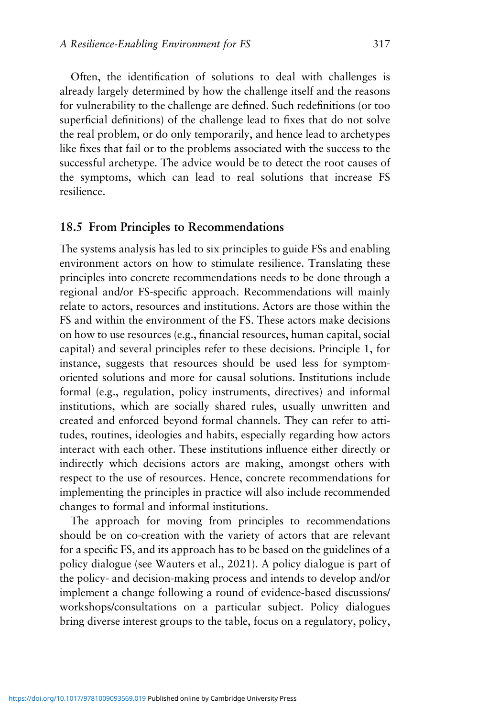Often, the identification of solutions to deal with challenges is already largely determined by how the challenge itself and the reasons for vulnerability to the challenge are defined. Such redefinitions (or too superficial definitions) of the challenge lead to fixes that do not solve the real problem, or do only temporarily, and hence lead to archetypes like fixes that fail or to the problems associated with the success to the successful archetype. The advice would be to detect the root causes of the symptoms, which can lead to real solutions that increase FS resilience.

## **18.5 From Principles to Recommendations**

The systems analysis has led to six principles to guide FSs and enabling environment actors on how to stimulate resilience. Translating these principles into concrete recommendations needs to be done through a regional and/or FS-specific approach. Recommendations will mainly relate to actors, resources and institutions. Actors are those within the FS and within the environment of the FS. These actors make decisions on how to use resources (e.g., financial resources, human capital, social capital) and several principles refer to these decisions. Principle 1, for instance, suggests that resources should be used less for symptomoriented solutions and more for causal solutions. Institutions include formal (e.g., regulation, policy instruments, directives) and informal institutions, which are socially shared rules, usually unwritten and created and enforced beyond formal channels. They can refer to attitudes, routines, ideologies and habits, especially regarding how actors interact with each other. These institutions influence either directly or indirectly which decisions actors are making, amongst others with respect to the use of resources. Hence, concrete recommendations for implementing the principles in practice will also include recommended changes to formal and informal institutions.

The approach for moving from principles to recommendations should be on co-creation with the variety of actors that are relevant for a specific FS, and its approach has to be based on the guidelines of a policy dialogue (see Wauters et al., 2021). A policy dialogue is part of the policy- and decision-making process and intends to develop and/or implement a change following a round of evidence-based discussions/ workshops/consultations on a particular subject. Policy dialogues bring diverse interest groups to the table, focus on a regulatory, policy,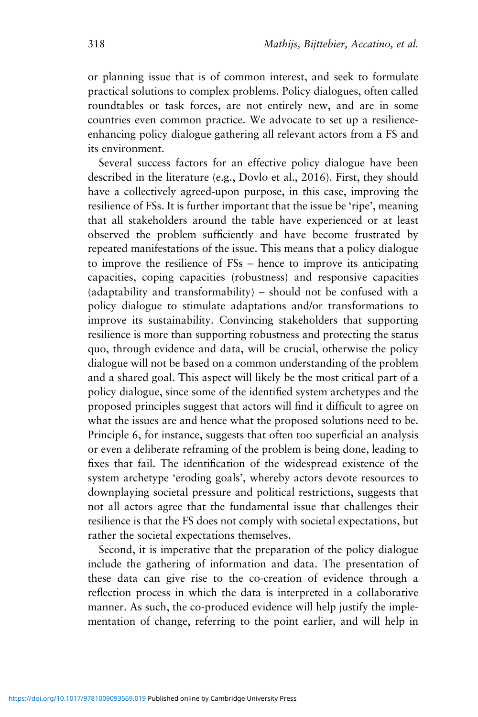or planning issue that is of common interest, and seek to formulate practical solutions to complex problems. Policy dialogues, often called roundtables or task forces, are not entirely new, and are in some countries even common practice. We advocate to set up a resilienceenhancing policy dialogue gathering all relevant actors from a FS and its environment.

Several success factors for an effective policy dialogue have been described in the literature (e.g., Dovlo et al., 2016). First, they should have a collectively agreed-upon purpose, in this case, improving the resilience of FSs. It is further important that the issue be 'ripe', meaning that all stakeholders around the table have experienced or at least observed the problem sufficiently and have become frustrated by repeated manifestations of the issue. This means that a policy dialogue to improve the resilience of FSs – hence to improve its anticipating capacities, coping capacities (robustness) and responsive capacities (adaptability and transformability) – should not be confused with a policy dialogue to stimulate adaptations and/or transformations to improve its sustainability. Convincing stakeholders that supporting resilience is more than supporting robustness and protecting the status quo, through evidence and data, will be crucial, otherwise the policy dialogue will not be based on a common understanding of the problem and a shared goal. This aspect will likely be the most critical part of a policy dialogue, since some of the identified system archetypes and the proposed principles suggest that actors will find it difficult to agree on what the issues are and hence what the proposed solutions need to be. Principle 6, for instance, suggests that often too superficial an analysis or even a deliberate reframing of the problem is being done, leading to fixes that fail. The identification of the widespread existence of the system archetype 'eroding goals', whereby actors devote resources to downplaying societal pressure and political restrictions, suggests that not all actors agree that the fundamental issue that challenges their resilience is that the FS does not comply with societal expectations, but rather the societal expectations themselves.

Second, it is imperative that the preparation of the policy dialogue include the gathering of information and data. The presentation of these data can give rise to the co-creation of evidence through a reflection process in which the data is interpreted in a collaborative manner. As such, the co-produced evidence will help justify the implementation of change, referring to the point earlier, and will help in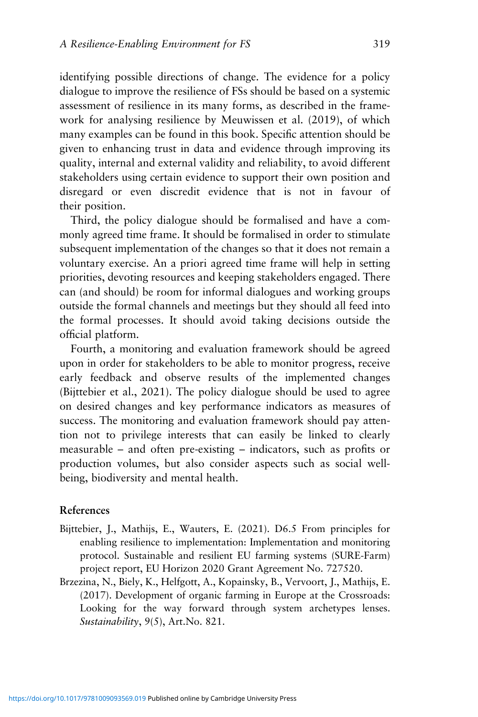identifying possible directions of change. The evidence for a policy dialogue to improve the resilience of FSs should be based on a systemic assessment of resilience in its many forms, as described in the framework for analysing resilience by Meuwissen et al. (2019), of which many examples can be found in this book. Specific attention should be given to enhancing trust in data and evidence through improving its quality, internal and external validity and reliability, to avoid different stakeholders using certain evidence to support their own position and disregard or even discredit evidence that is not in favour of their position.

Third, the policy dialogue should be formalised and have a commonly agreed time frame. It should be formalised in order to stimulate subsequent implementation of the changes so that it does not remain a voluntary exercise. An a priori agreed time frame will help in setting priorities, devoting resources and keeping stakeholders engaged. There can (and should) be room for informal dialogues and working groups outside the formal channels and meetings but they should all feed into the formal processes. It should avoid taking decisions outside the official platform.

Fourth, a monitoring and evaluation framework should be agreed upon in order for stakeholders to be able to monitor progress, receive early feedback and observe results of the implemented changes (Bijttebier et al., 2021). The policy dialogue should be used to agree on desired changes and key performance indicators as measures of success. The monitoring and evaluation framework should pay attention not to privilege interests that can easily be linked to clearly measurable – and often pre-existing – indicators, such as profits or production volumes, but also consider aspects such as social wellbeing, biodiversity and mental health.

#### **References**

- Bijttebier, J., Mathijs, E., Wauters, E. (2021). D6.5 From principles for enabling resilience to implementation: Implementation and monitoring protocol. Sustainable and resilient EU farming systems (SURE-Farm) project report, EU Horizon 2020 Grant Agreement No. 727520.
- Brzezina, N., Biely, K., Helfgott, A., Kopainsky, B., Vervoort, J., Mathijs, E. (2017). Development of organic farming in Europe at the Crossroads: Looking for the way forward through system archetypes lenses. *Sustainability*, 9(5), Art.No. 821.